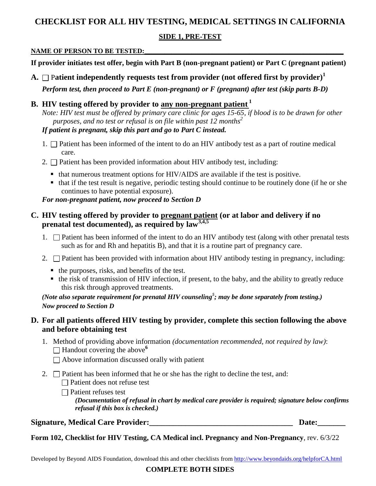# **CHECKLIST FOR ALL HIV TESTING, MEDICAL SETTINGS IN CALIFORNIA**

# **SIDE 1, PRE-TEST**

### NAME OF PERSON TO BE TESTED:

**If provider initiates test offer, begin with Part B (non-pregnant patient) or Part C (pregnant patient)**

**A.**  $\Box$  Patient independently requests test from provider (not offered first by provider)<sup>1</sup>

*Perform test, then proceed to Part E (non-pregnant) or F (pregnant) after test (skip parts B-D)*

# **B. HIV testing offered by provider to any non-pregnant patient <sup>1</sup>**

*Note: HIV test must be offered by primary care clinic for ages 15-65, if blood is to be drawn for other purposes, and no test or refusal is on file within past 12 months<sup>2</sup>*

*If patient is pregnant, skip this part and go to Part C instead.*

- 1.  $\Box$  Patient has been informed of the intent to do an HIV antibody test as a part of routine medical care.
- 2.  $\square$  Patient has been provided information about HIV antibody test, including:
	- that numerous treatment options for HIV/AIDS are available if the test is positive.
	- $\blacksquare$  that if the test result is negative, periodic testing should continue to be routinely done (if he or she continues to have potential exposure).

*For non-pregnant patient, now proceed to Section D*

# **C. HIV testing offered by provider to pregnant patient (or at labor and delivery if no prenatal test documented), as required by law3,4,5**

- 1.  $\Box$  Patient has been informed of the intent to do an HIV antibody test (along with other prenatal tests such as for and Rh and hepatitis B), and that it is a routine part of pregnancy care.
- 2.  $\square$  Patient has been provided with information about HIV antibody testing in pregnancy, including:
	- $\blacksquare$  the purposes, risks, and benefits of the test.
	- the risk of transmission of HIV infection, if present, to the baby, and the ability to greatly reduce this risk through approved treatments.

*(Note also separate requirement for prenatal HIV counseling<sup>5</sup> ; may be done separately from testing.) Now proceed to Section D* 

# **D. For all patients offered HIV testing by provider, complete this section following the above and before obtaining test**

- 1. Method of providing above information *(documentation recommended, not required by law)*:  $\Box$  Handout covering the above<sup>6</sup>
	- $\Box$  Above information discussed orally with patient
- 2.  $\Box$  Patient has been informed that he or she has the right to decline the test, and:  $\Box$  Patient does not refuse test

Patient refuses test

*(Documentation of refusal in chart by medical care provider is required; signature below confirms refusal if this box is checked.)*

# **Signature, Medical Care Provider:\_\_\_\_\_\_\_\_\_\_\_\_\_\_\_\_\_\_\_\_\_\_\_\_\_\_\_\_\_\_\_\_\_\_\_\_ Date:\_\_\_\_\_\_\_**

**Form 102, Checklist for HIV Testing, CA Medical incl. Pregnancy and Non-Pregnancy**, rev. 6/3/22

Developed by Beyond AIDS Foundation, download this and other checklists from **http://www.beyondaids.org/helpforCA.html** 

**COMPLETE BOTH SIDES**